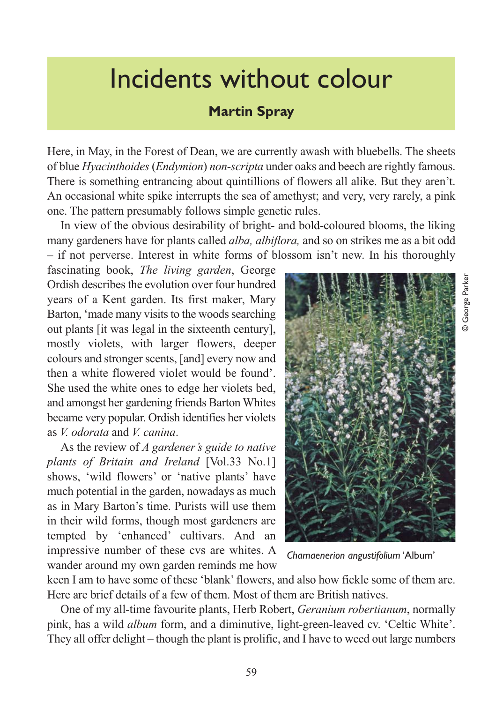## Incidents without colour

## **Martin Spray**

Here, in May, in the Forest of Dean, we are currently awash with bluebells. The sheets of blue *Hyacinthoides* (*Endymion*) *non-scripta* under oaks and beech are rightly famous. There is something entrancing about quintillions of flowers all alike. But they aren't. An occasional white spike interrupts the sea of amethyst; and very, very rarely, a pink one. The pattern presumably follows simple genetic rules.

In view of the obvious desirability of bright- and bold-coloured blooms, the liking many gardeners have for plants called *alba, albiflora,* and so on strikes me as a bit odd – if not perverse. Interest in white forms of blossom isn't new. In his thoroughly

fascinating book, *The living garden*, George Ordish describes the evolution over four hundred years of a Kent garden. Its first maker, Mary Barton, 'made many visits to the woods searching out plants [it was legal in the sixteenth century], mostly violets, with larger flowers, deeper colours and stronger scents, [and] every now and then a white flowered violet would be found'. She used the white ones to edge her violets bed, and amongst her gardening friends Barton Whites became very popular. Ordish identifies her violets as *V. odorata* and *V. canina*.

As the review of *A gardener's guide to native plants of Britain and Ireland* [Vol.33 No.1] shows, 'wild flowers' or 'native plants' have much potential in the garden, nowadays as much as in Mary Barton's time. Purists will use them in their wild forms, though most gardeners are tempted by 'enhanced' cultivars. And an impressive number of these cvs are whites. A wander around my own garden reminds me how



*Chamaenerion angustifolium* 'Album'

keen I am to have some of these 'blank' flowers, and also how fickle some of them are. Here are brief details of a few of them. Most of them are British natives.

One of my all-time favourite plants, Herb Robert, *Geranium robertianum*, normally pink, has a wild *album* form, and a diminutive, light-green-leaved cv. 'Celtic White'. They all offer delight – though the plant is prolific, and I have to weed out large numbers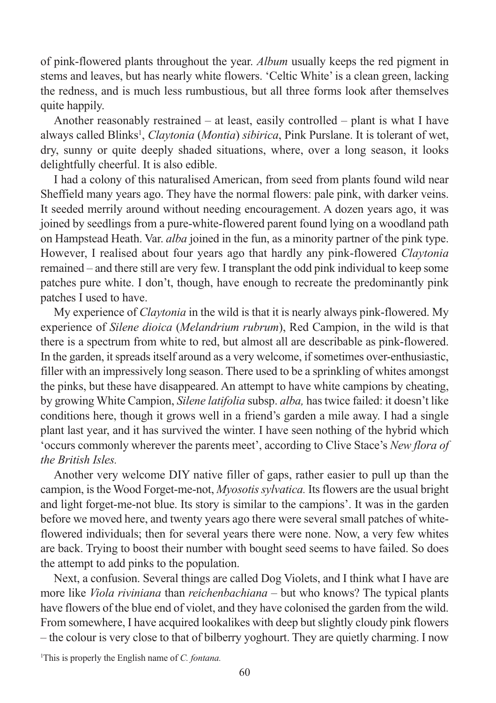of pink-flowered plants throughout the year. *Album* usually keeps the red pigment in stems and leaves, but has nearly white flowers. 'Celtic White' is a clean green, lacking the redness, and is much less rumbustious, but all three forms look after themselves quite happily.

Another reasonably restrained – at least, easily controlled – plant is what I have always called Blinks<sup>1</sup>, *Claytonia* (*Montia*) *sibirica*, Pink Purslane. It is tolerant of wet, dry, sunny or quite deeply shaded situations, where, over a long season, it looks delightfully cheerful. It is also edible.

I had a colony of this naturalised American, from seed from plants found wild near Sheffield many years ago. They have the normal flowers: pale pink, with darker veins. It seeded merrily around without needing encouragement. A dozen years ago, it was joined by seedlings from a pure-white-flowered parent found lying on a woodland path on Hampstead Heath. Var. *alba* joined in the fun, as a minority partner of the pink type. However, I realised about four years ago that hardly any pink-flowered *Claytonia* remained – and there still are very few. I transplant the odd pink individual to keep some patches pure white. I don't, though, have enough to recreate the predominantly pink patches I used to have.

My experience of *Claytonia* in the wild is that it is nearly always pink-flowered. My experience of *Silene dioica* (*Melandrium rubrum*), Red Campion, in the wild is that there is a spectrum from white to red, but almost all are describable as pink-flowered. In the garden, it spreads itself around as a very welcome, if sometimes over-enthusiastic, filler with an impressively long season. There used to be a sprinkling of whites amongst the pinks, but these have disappeared. An attempt to have white campions by cheating, by growing White Campion, *Silene latifolia* subsp. *alba,* has twice failed: it doesn't like conditions here, though it grows well in a friend's garden a mile away. I had a single plant last year, and it has survived the winter. I have seen nothing of the hybrid which 'occurs commonly wherever the parents meet', according to Clive Stace's *New flora of the British Isles.* 

Another very welcome DIY native filler of gaps, rather easier to pull up than the campion, is the Wood Forget-me-not, *Myosotis sylvatica.* Its flowers are the usual bright and light forget-me-not blue. Its story is similar to the campions'. It was in the garden before we moved here, and twenty years ago there were several small patches of whiteflowered individuals; then for several years there were none. Now, a very few whites are back. Trying to boost their number with bought seed seems to have failed. So does the attempt to add pinks to the population.

Next, a confusion. Several things are called Dog Violets, and I think what I have are more like *Viola riviniana* than *reichenbachiana* – but who knows? The typical plants have flowers of the blue end of violet, and they have colonised the garden from the wild. From somewhere, I have acquired lookalikes with deep but slightly cloudy pink flowers – the colour is very close to that of bilberry yoghourt. They are quietly charming. I now

1 This is properly the English name of *C. fontana.*